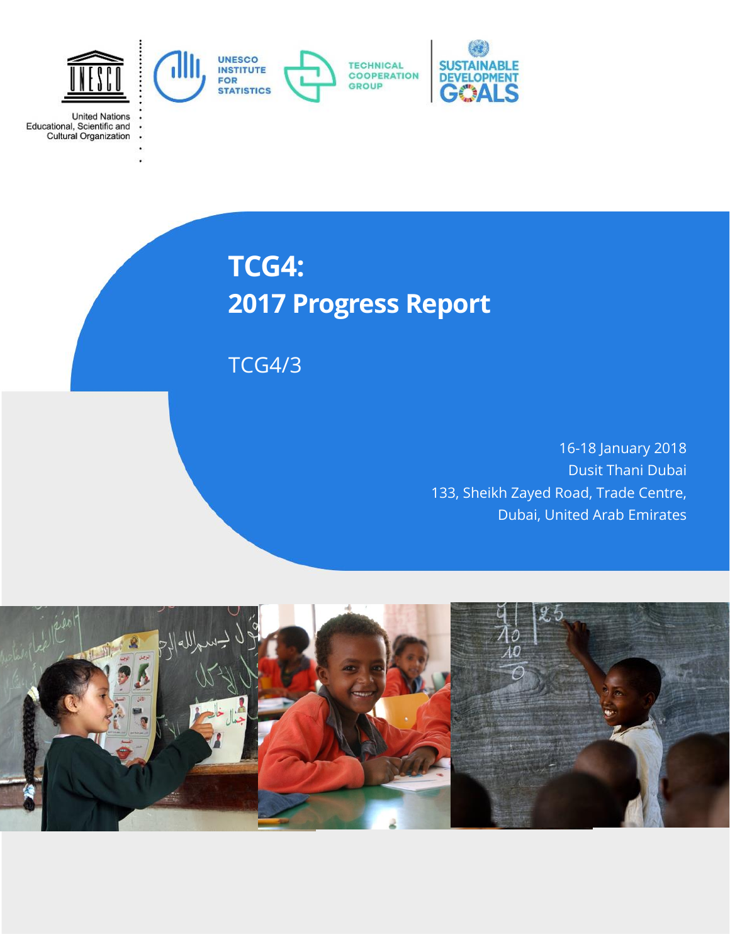

United Nations<br>Educational, Scientific and<br>Cultural Organization

# **TCG4: 2017 Progress Report**

TCG4/3

16-18 January 2018 Dusit Thani Dubai 133, Sheikh Zayed Road, Trade Centre, Dubai, United Arab Emirates

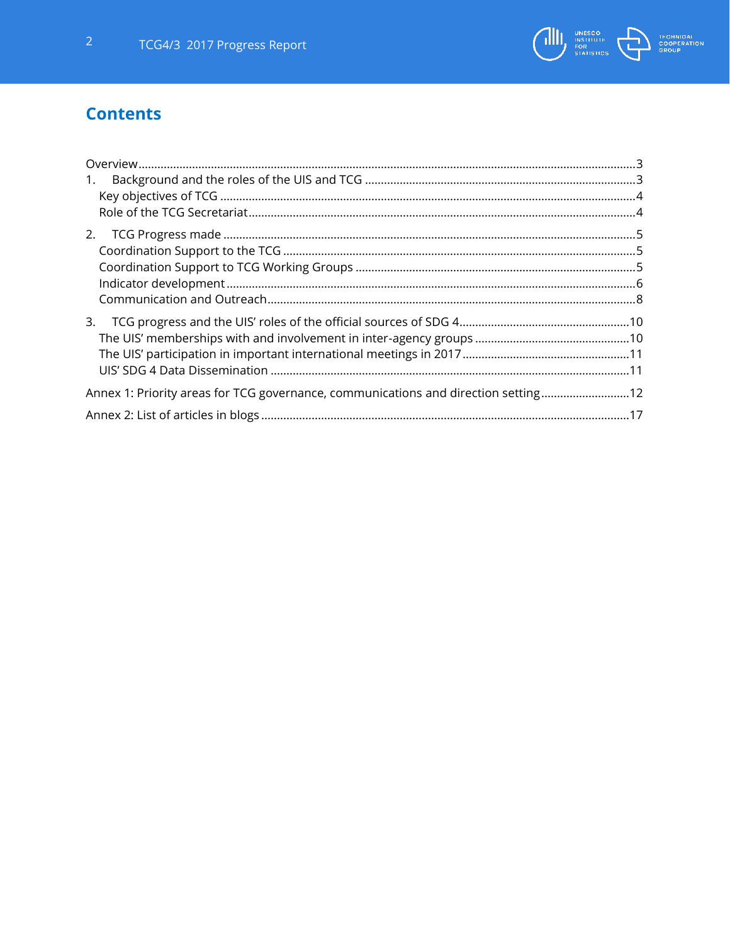

# **Contents**

<span id="page-1-0"></span>

| $\mathbf{1}$ .                                                                      |  |  |
|-------------------------------------------------------------------------------------|--|--|
|                                                                                     |  |  |
|                                                                                     |  |  |
| 2.                                                                                  |  |  |
|                                                                                     |  |  |
|                                                                                     |  |  |
|                                                                                     |  |  |
|                                                                                     |  |  |
| 3.                                                                                  |  |  |
|                                                                                     |  |  |
|                                                                                     |  |  |
|                                                                                     |  |  |
| Annex 1: Priority areas for TCG governance, communications and direction setting 12 |  |  |
|                                                                                     |  |  |
|                                                                                     |  |  |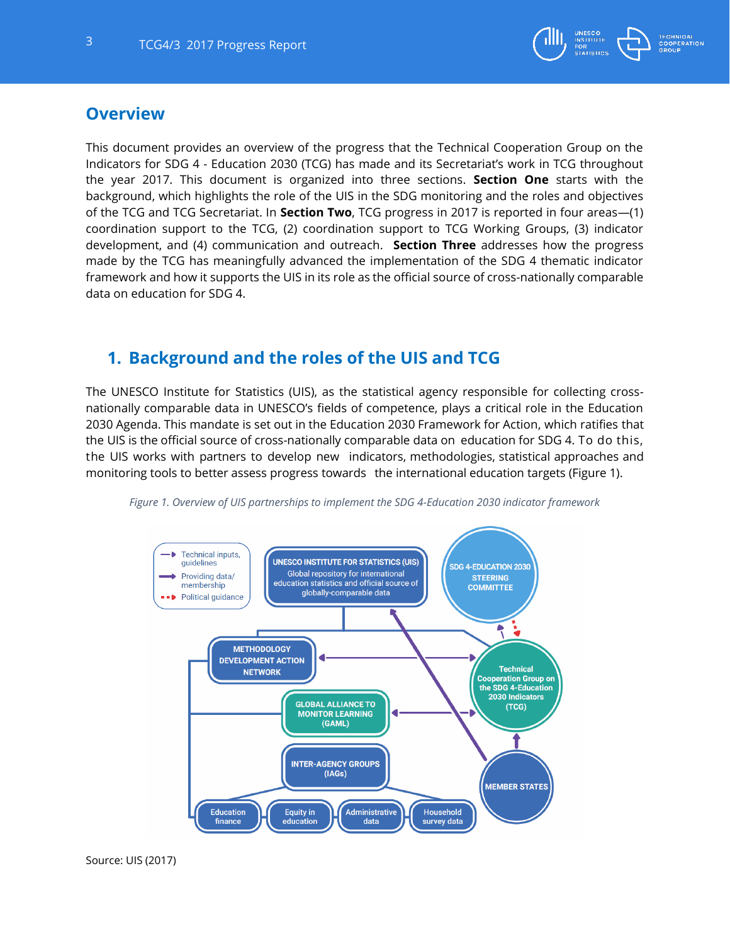

## **Overview**

This document provides an overview of the progress that the Technical Cooperation Group on the Indicators for SDG 4 - Education 2030 (TCG) has made and its Secretariat's work in TCG throughout the year 2017. This document is organized into three sections. **Section One** starts with the background, which highlights the role of the UIS in the SDG monitoring and the roles and objectives of the TCG and TCG Secretariat. In **Section Two**, TCG progress in 2017 is reported in four areas—(1) coordination support to the TCG, (2) coordination support to TCG Working Groups, (3) indicator development, and (4) communication and outreach. **Section Three** addresses how the progress made by the TCG has meaningfully advanced the implementation of the SDG 4 thematic indicator framework and how it supports the UIS in its role as the official source of cross-nationally comparable data on education for SDG 4.

## <span id="page-2-0"></span>**1. Background and the roles of the UIS and TCG**

The UNESCO Institute for Statistics (UIS), as the statistical agency responsible for collecting crossnationally comparable data in UNESCO's fields of competence, plays a critical role in the Education 2030 Agenda. This mandate is set out in the Education 2030 Framework for Action, which ratifies that the UIS is the official source of cross-nationally comparable data on education for SDG 4. To do this, the UIS works with partners to develop new indicators, methodologies, statistical approaches and monitoring tools to better assess progress towards the international education targets (Figure 1).



*Figure 1. Overview of UIS partnerships to implement the SDG 4-Education 2030 indicator framework*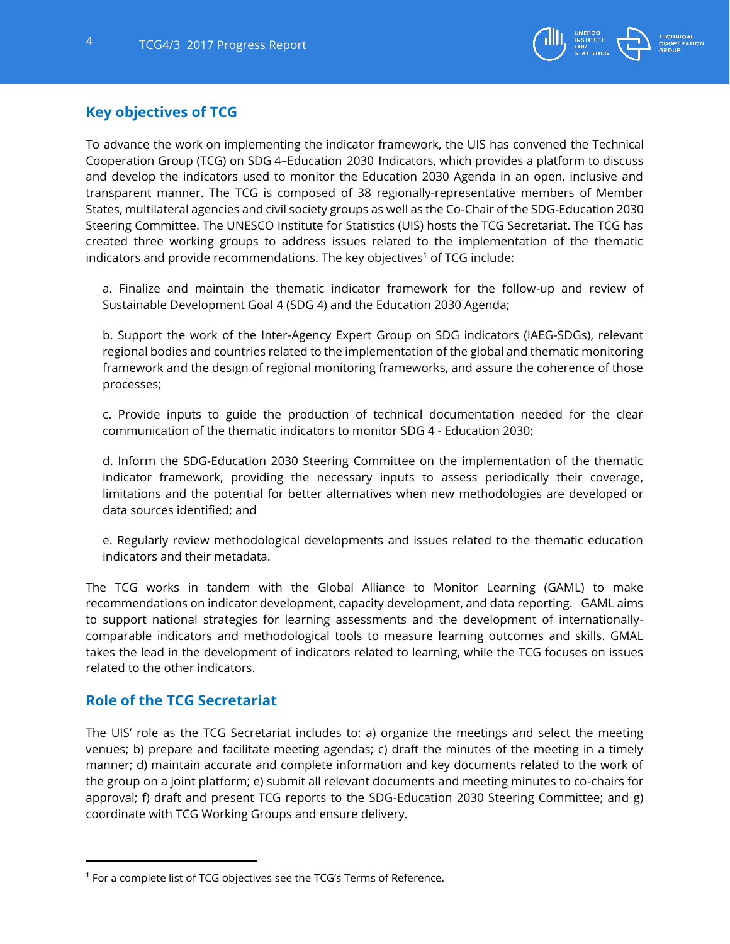

## <span id="page-3-0"></span>**Key objectives of TCG**

To advance the work on implementing the indicator framework, the UIS has convened the Technical Cooperation Group (TCG) on SDG 4–Education 2030 Indicators, which provides a platform to discuss and develop the indicators used to monitor the Education 2030 Agenda in an open, inclusive and transparent manner. The TCG is composed of 38 regionally-representative members of Member States, multilateral agencies and civil society groups as well as the Co-Chair of the SDG-Education 2030 Steering Committee. The UNESCO Institute for Statistics (UIS) hosts the TCG Secretariat. The TCG has created three working groups to address issues related to the implementation of the thematic indicators and provide recommendations. The key objectives<sup>1</sup> of TCG include:

a. Finalize and maintain the thematic indicator framework for the follow-up and review of Sustainable Development Goal 4 (SDG 4) and the Education 2030 Agenda;

b. Support the work of the Inter-Agency Expert Group on SDG indicators (IAEG-SDGs), relevant regional bodies and countries related to the implementation of the global and thematic monitoring framework and the design of regional monitoring frameworks, and assure the coherence of those processes;

c. Provide inputs to guide the production of technical documentation needed for the clear communication of the thematic indicators to monitor SDG 4 - Education 2030;

d. Inform the SDG-Education 2030 Steering Committee on the implementation of the thematic indicator framework, providing the necessary inputs to assess periodically their coverage, limitations and the potential for better alternatives when new methodologies are developed or data sources identified; and

e. Regularly review methodological developments and issues related to the thematic education indicators and their metadata.

The TCG works in tandem with the Global Alliance to Monitor Learning (GAML) to make recommendations on indicator development, capacity development, and data reporting. GAML aims to support national strategies for learning assessments and the development of internationallycomparable indicators and methodological tools to measure learning outcomes and skills. GMAL takes the lead in the development of indicators related to learning, while the TCG focuses on issues related to the other indicators.

## <span id="page-3-1"></span>**Role of the TCG Secretariat**

The UIS' role as the TCG Secretariat includes to: a) organize the meetings and select the meeting venues; b) prepare and facilitate meeting agendas; c) draft the minutes of the meeting in a timely manner; d) maintain accurate and complete information and key documents related to the work of the group on a joint platform; e) submit all relevant documents and meeting minutes to co-chairs for approval; f) draft and present TCG reports to the SDG-Education 2030 Steering Committee; and g) coordinate with TCG Working Groups and ensure delivery.

 $^{\rm 1}$  For a complete list of TCG objectives see the TCG's Terms of Reference.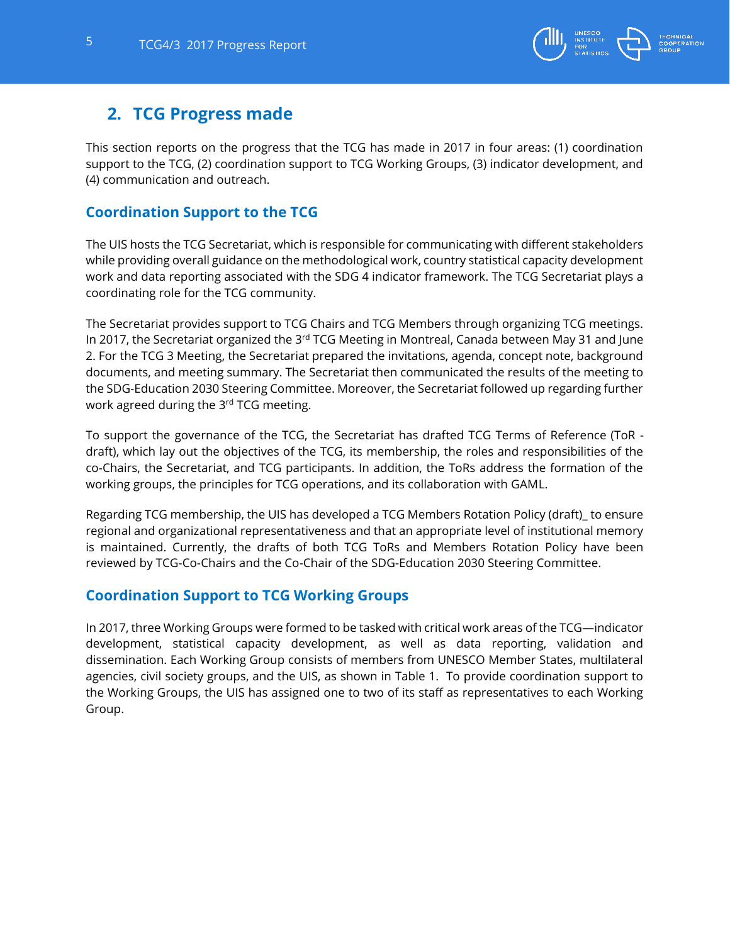

## <span id="page-4-0"></span>**2. TCG Progress made**

This section reports on the progress that the TCG has made in 2017 in four areas: (1) coordination support to the TCG, (2) coordination support to TCG Working Groups, (3) indicator development, and (4) communication and outreach.

## <span id="page-4-1"></span>**Coordination Support to the TCG**

The UIS hosts the TCG Secretariat, which is responsible for communicating with different stakeholders while providing overall guidance on the methodological work, country statistical capacity development work and data reporting associated with the SDG 4 indicator framework. The TCG Secretariat plays a coordinating role for the TCG community.

The Secretariat provides support to TCG Chairs and TCG Members through organizing TCG meetings. In 2017, the Secretariat organized the 3<sup>rd</sup> TCG Meeting in Montreal, Canada between May 31 and June 2. For the TCG 3 Meeting, the Secretariat prepared the invitations, agenda, concept note, background documents, and meeting summary. The Secretariat then communicated the results of the meeting to the SDG-Education 2030 Steering Committee. Moreover, the Secretariat followed up regarding further work agreed during the 3<sup>rd</sup> TCG meeting.

To support the governance of the TCG, the Secretariat has drafted TCG Terms of Reference (ToR draft), which lay out the objectives of the TCG, its membership, the roles and responsibilities of the co-Chairs, the Secretariat, and TCG participants. In addition, the ToRs address the formation of the working groups, the principles for TCG operations, and its collaboration with GAML.

Regarding TCG membership, the UIS has developed a TCG Members Rotation Policy (draft)\_ to ensure regional and organizational representativeness and that an appropriate level of institutional memory is maintained. Currently, the drafts of both TCG ToRs and Members Rotation Policy have been reviewed by TCG-Co-Chairs and the Co-Chair of the SDG-Education 2030 Steering Committee.

## <span id="page-4-2"></span>**Coordination Support to TCG Working Groups**

In 2017, three Working Groups were formed to be tasked with critical work areas of the TCG—indicator development, statistical capacity development, as well as data reporting, validation and dissemination. Each Working Group consists of members from UNESCO Member States, multilateral agencies, civil society groups, and the UIS, as shown in Table 1. To provide coordination support to the Working Groups, the UIS has assigned one to two of its staff as representatives to each Working Group.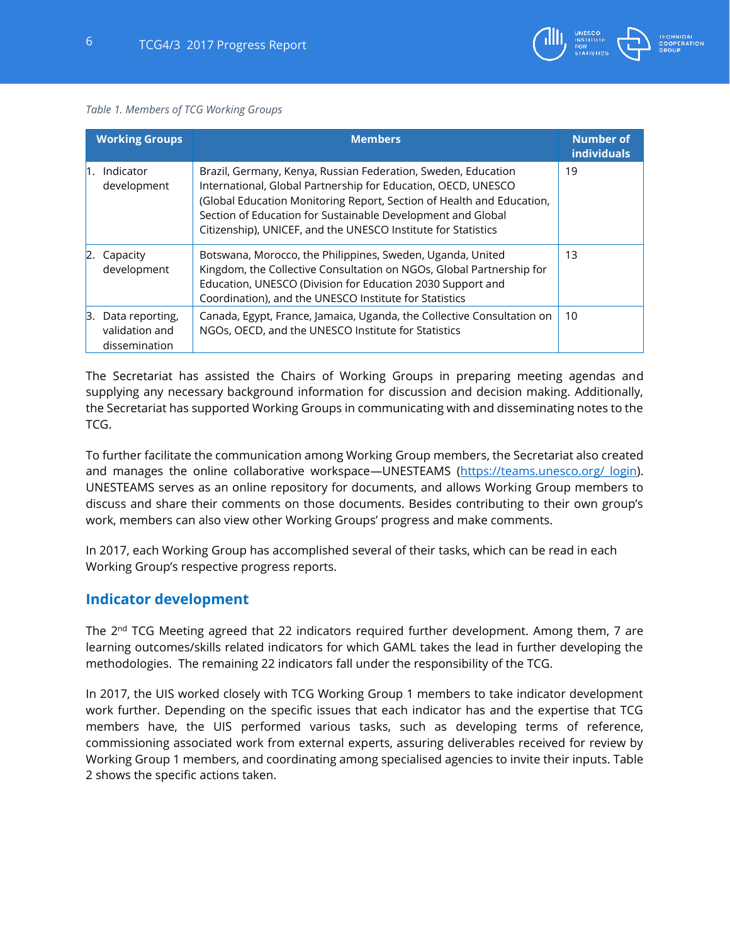#### *Table 1. Members of TCG Working Groups*

|    | <b>Working Groups</b>                              | <b>Members</b>                                                                                                                                                                                                                                                                                                                          | <b>Number of</b><br><b>individuals</b> |
|----|----------------------------------------------------|-----------------------------------------------------------------------------------------------------------------------------------------------------------------------------------------------------------------------------------------------------------------------------------------------------------------------------------------|----------------------------------------|
|    | Indicator<br>development                           | Brazil, Germany, Kenya, Russian Federation, Sweden, Education<br>International, Global Partnership for Education, OECD, UNESCO<br>(Global Education Monitoring Report, Section of Health and Education,<br>Section of Education for Sustainable Development and Global<br>Citizenship), UNICEF, and the UNESCO Institute for Statistics | 19                                     |
| 2. | Capacity<br>development                            | Botswana, Morocco, the Philippines, Sweden, Uganda, United<br>Kingdom, the Collective Consultation on NGOs, Global Partnership for<br>Education, UNESCO (Division for Education 2030 Support and<br>Coordination), and the UNESCO Institute for Statistics                                                                              | 13                                     |
| Β. | Data reporting,<br>validation and<br>dissemination | Canada, Egypt, France, Jamaica, Uganda, the Collective Consultation on<br>NGOs, OECD, and the UNESCO Institute for Statistics                                                                                                                                                                                                           | 10                                     |

The Secretariat has assisted the Chairs of Working Groups in preparing meeting agendas and supplying any necessary background information for discussion and decision making. Additionally, the Secretariat has supported Working Groups in communicating with and disseminating notes to the TCG.

To further facilitate the communication among Working Group members, the Secretariat also created and manages the online collaborative workspace—UNESTEAMS (https://teams.unesco.org/ login). UNESTEAMS serves as an online repository for documents, and allows Working Group members to discuss and share their comments on those documents. Besides contributing to their own group's work, members can also view other Working Groups' progress and make comments.

In 2017, each Working Group has accomplished several of their tasks, which can be read in each Working Group's respective progress reports.

## <span id="page-5-0"></span>**Indicator development**

The  $2<sup>nd</sup> TCG Meeting agreed that 22 indicators required further development. Among them, 7 are$ learning outcomes/skills related indicators for which GAML takes the lead in further developing the methodologies. The remaining 22 indicators fall under the responsibility of the TCG.

In 2017, the UIS worked closely with TCG Working Group 1 members to take indicator development work further. Depending on the specific issues that each indicator has and the expertise that TCG members have, the UIS performed various tasks, such as developing terms of reference, commissioning associated work from external experts, assuring deliverables received for review by Working Group 1 members, and coordinating among specialised agencies to invite their inputs. Table 2 shows the specific actions taken.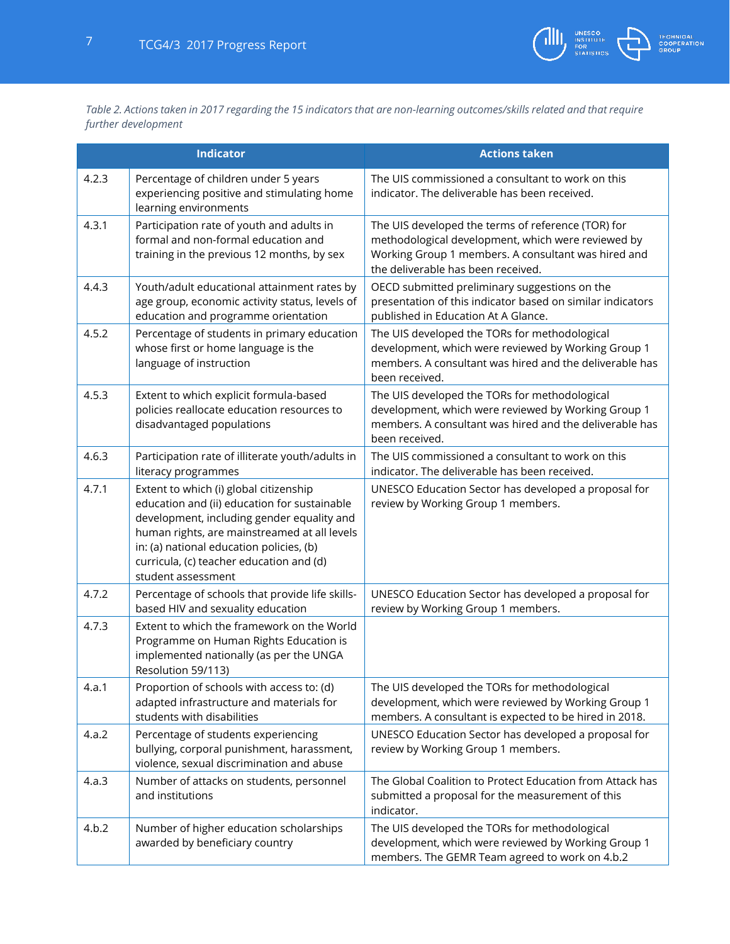

*Table 2. Actions taken in 2017 regarding the 15 indicators that are non-learning outcomes/skills related and that require further development*

|       | <b>Indicator</b>                                                                                                                                                                                                                                                                                   | <b>Actions taken</b>                                                                                                                                                                                  |
|-------|----------------------------------------------------------------------------------------------------------------------------------------------------------------------------------------------------------------------------------------------------------------------------------------------------|-------------------------------------------------------------------------------------------------------------------------------------------------------------------------------------------------------|
| 4.2.3 | Percentage of children under 5 years<br>experiencing positive and stimulating home<br>learning environments                                                                                                                                                                                        | The UIS commissioned a consultant to work on this<br>indicator. The deliverable has been received.                                                                                                    |
| 4.3.1 | Participation rate of youth and adults in<br>formal and non-formal education and<br>training in the previous 12 months, by sex                                                                                                                                                                     | The UIS developed the terms of reference (TOR) for<br>methodological development, which were reviewed by<br>Working Group 1 members. A consultant was hired and<br>the deliverable has been received. |
| 4.4.3 | Youth/adult educational attainment rates by<br>age group, economic activity status, levels of<br>education and programme orientation                                                                                                                                                               | OECD submitted preliminary suggestions on the<br>presentation of this indicator based on similar indicators<br>published in Education At A Glance.                                                    |
| 4.5.2 | Percentage of students in primary education<br>whose first or home language is the<br>language of instruction                                                                                                                                                                                      | The UIS developed the TORs for methodological<br>development, which were reviewed by Working Group 1<br>members. A consultant was hired and the deliverable has<br>been received.                     |
| 4.5.3 | Extent to which explicit formula-based<br>policies reallocate education resources to<br>disadvantaged populations                                                                                                                                                                                  | The UIS developed the TORs for methodological<br>development, which were reviewed by Working Group 1<br>members. A consultant was hired and the deliverable has<br>been received.                     |
| 4.6.3 | Participation rate of illiterate youth/adults in<br>literacy programmes                                                                                                                                                                                                                            | The UIS commissioned a consultant to work on this<br>indicator. The deliverable has been received.                                                                                                    |
| 4.7.1 | Extent to which (i) global citizenship<br>education and (ii) education for sustainable<br>development, including gender equality and<br>human rights, are mainstreamed at all levels<br>in: (a) national education policies, (b)<br>curricula, (c) teacher education and (d)<br>student assessment | UNESCO Education Sector has developed a proposal for<br>review by Working Group 1 members.                                                                                                            |
| 4.7.2 | Percentage of schools that provide life skills-<br>based HIV and sexuality education                                                                                                                                                                                                               | UNESCO Education Sector has developed a proposal for<br>review by Working Group 1 members.                                                                                                            |
| 4.7.3 | Extent to which the framework on the World<br>Programme on Human Rights Education is<br>implemented nationally (as per the UNGA<br>Resolution 59/113)                                                                                                                                              |                                                                                                                                                                                                       |
| 4.a.1 | Proportion of schools with access to: (d)<br>adapted infrastructure and materials for<br>students with disabilities                                                                                                                                                                                | The UIS developed the TORs for methodological<br>development, which were reviewed by Working Group 1<br>members. A consultant is expected to be hired in 2018.                                        |
| 4.a.2 | Percentage of students experiencing<br>bullying, corporal punishment, harassment,<br>violence, sexual discrimination and abuse                                                                                                                                                                     | UNESCO Education Sector has developed a proposal for<br>review by Working Group 1 members.                                                                                                            |
| 4.a.3 | Number of attacks on students, personnel<br>and institutions                                                                                                                                                                                                                                       | The Global Coalition to Protect Education from Attack has<br>submitted a proposal for the measurement of this<br>indicator.                                                                           |
| 4.b.2 | Number of higher education scholarships<br>awarded by beneficiary country                                                                                                                                                                                                                          | The UIS developed the TORs for methodological<br>development, which were reviewed by Working Group 1<br>members. The GEMR Team agreed to work on 4.b.2                                                |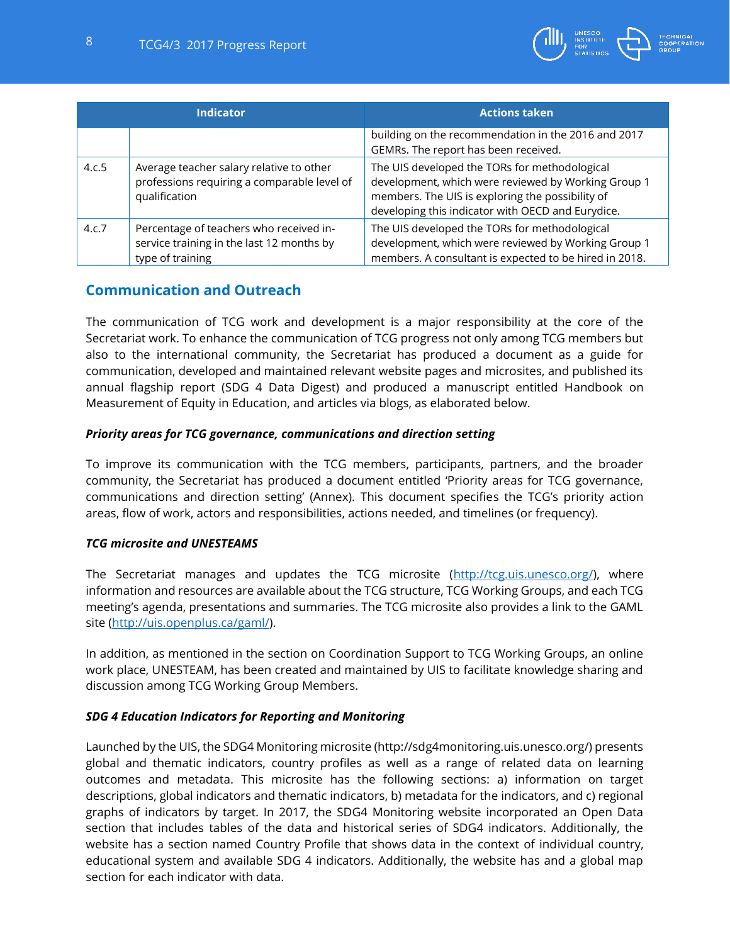

| <b>Indicator</b> |                                                                                                          | <b>Actions taken</b>                                                                                                                                                                                          |
|------------------|----------------------------------------------------------------------------------------------------------|---------------------------------------------------------------------------------------------------------------------------------------------------------------------------------------------------------------|
|                  |                                                                                                          | building on the recommendation in the 2016 and 2017<br>GEMRs. The report has been received.                                                                                                                   |
| 4.c.5            | Average teacher salary relative to other<br>professions requiring a comparable level of<br>qualification | The UIS developed the TORs for methodological<br>development, which were reviewed by Working Group 1<br>members. The UIS is exploring the possibility of<br>developing this indicator with OECD and Eurydice. |
| 4.c.7            | Percentage of teachers who received in-<br>service training in the last 12 months by<br>type of training | The UIS developed the TORs for methodological<br>development, which were reviewed by Working Group 1<br>members. A consultant is expected to be hired in 2018.                                                |

## <span id="page-7-0"></span>**Communication and Outreach**

The communication of TCG work and development is a major responsibility at the core of the Secretariat work. To enhance the communication of TCG progress not only among TCG members but also to the international community, the Secretariat has produced a document as a guide for communication, developed and maintained relevant website pages and microsites, and published its annual flagship report (SDG 4 Data Digest) and produced a manuscript entitled Handbook on Measurement of Equity in Education, and articles via blogs, as elaborated below.

#### *Priority areas for TCG governance, communications and direction setting*

To improve its communication with the TCG members, participants, partners, and the broader community, the Secretariat has produced a document entitled 'Priority areas for TCG governance, communications and direction setting' (Annex). This document specifies the TCG's priority action areas, flow of work, actors and responsibilities, actions needed, and timelines (or frequency).

#### *TCG microsite and UNESTEAMS*

The Secretariat manages and updates the TCG microsite [\(http://tcg.uis.unesco.org/\)](http://tcg.uis.unesco.org/), where information and resources are available about the TCG structure, TCG Working Groups, and each TCG meeting's agenda, presentations and summaries. The TCG microsite also provides a link to the GAML site [\(http://uis.openplus.ca/gaml/\)](http://uis.openplus.ca/gaml/).

In addition, as mentioned in the section on Coordination Support to TCG Working Groups, an online work place, UNESTEAM, has been created and maintained by UIS to facilitate knowledge sharing and discussion among TCG Working Group Members.

#### *SDG 4 Education Indicators for Reporting and Monitoring*

Launched by the UIS, the SDG4 Monitoring microsite (http://sdg4monitoring.uis.unesco.org/) presents global and thematic indicators, country profiles as well as a range of related data on learning outcomes and metadata. This microsite has the following sections: a) information on target descriptions, global indicators and thematic indicators, b) metadata for the indicators, and c) regional graphs of indicators by target. In 2017, the SDG4 Monitoring website incorporated an Open Data section that includes tables of the data and historical series of SDG4 indicators. Additionally, the website has a section named Country Profile that shows data in the context of individual country, educational system and available SDG 4 indicators. Additionally, the website has and a global map section for each indicator with data.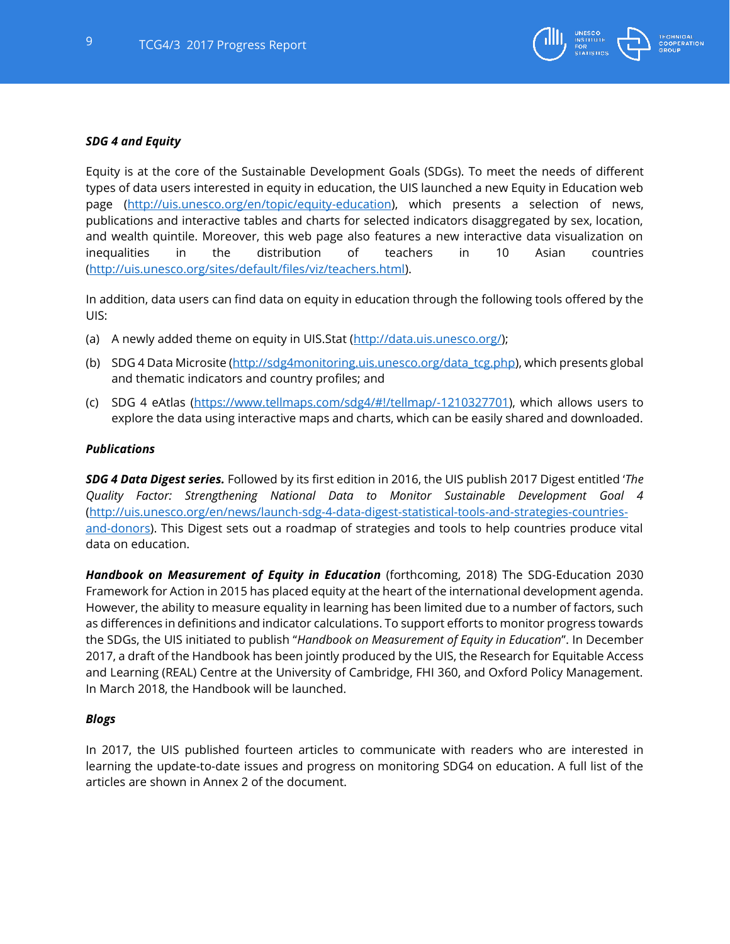

#### *SDG 4 and Equity*

Equity is at the core of the Sustainable Development Goals (SDGs). To meet the needs of different types of data users interested in equity in education, the UIS launched a new Equity in Education web page [\(http://uis.unesco.org/en/topic/equity-education\)](http://uis.unesco.org/en/topic/equity-education), which presents a selection of news, publications and interactive tables and charts for selected indicators disaggregated by sex, location, and wealth quintile. Moreover, this web page also features a new interactive data visualization on inequalities in the distribution of teachers in 10 Asian countries [\(http://uis.unesco.org/sites/default/files/viz/teachers.html\)](http://uis.unesco.org/sites/default/files/viz/teachers.html).

In addition, data users can find data on equity in education through the following tools offered by the UIS:

- (a) A newly added theme on equity in UIS.Stat [\(http://data.uis.unesco.org/\)](http://data.uis.unesco.org/);
- (b) SDG 4 Data Microsite [\(http://sdg4monitoring.uis.unesco.org/data\\_tcg.php\)](http://sdg4monitoring.uis.unesco.org/data_tcg.php), which presents global and thematic indicators and country profiles; and
- (c) SDG 4 eAtlas [\(https://www.tellmaps.com/sdg4/#!/tellmap/-1210327701\)](https://www.tellmaps.com/sdg4/#!/tellmap/-1210327701), which allows users to explore the data using interactive maps and charts, which can be easily shared and downloaded.

#### *Publications*

*SDG 4 Data Digest series.* Followed by its first edition in 2016, the UIS publish 2017 Digest entitled '*The Quality Factor: Strengthening National Data to Monitor Sustainable Development Goal 4* [\(http://uis.unesco.org/en/news/launch-sdg-4-data-digest-statistical-tools-and-strategies-countries](http://uis.unesco.org/en/news/launch-sdg-4-data-digest-statistical-tools-and-strategies-countries-and-donors)[and-donors\)](http://uis.unesco.org/en/news/launch-sdg-4-data-digest-statistical-tools-and-strategies-countries-and-donors). This Digest sets out a roadmap of strategies and tools to help countries produce vital data on education.

*Handbook on Measurement of Equity in Education* (forthcoming, 2018) The SDG-Education 2030 Framework for Action in 2015 has placed equity at the heart of the international development agenda. However, the ability to measure equality in learning has been limited due to a number of factors, such as differences in definitions and indicator calculations. To support efforts to monitor progress towards the SDGs, the UIS initiated to publish "*Handbook on Measurement of Equity in Education*". In December 2017, a draft of the Handbook has been jointly produced by the UIS, the Research for Equitable Access and Learning (REAL) Centre at the University of Cambridge, FHI 360, and Oxford Policy Management. In March 2018, the Handbook will be launched.

#### *Blogs*

In 2017, the UIS published fourteen articles to communicate with readers who are interested in learning the update-to-date issues and progress on monitoring SDG4 on education. A full list of the articles are shown in Annex 2 of the document.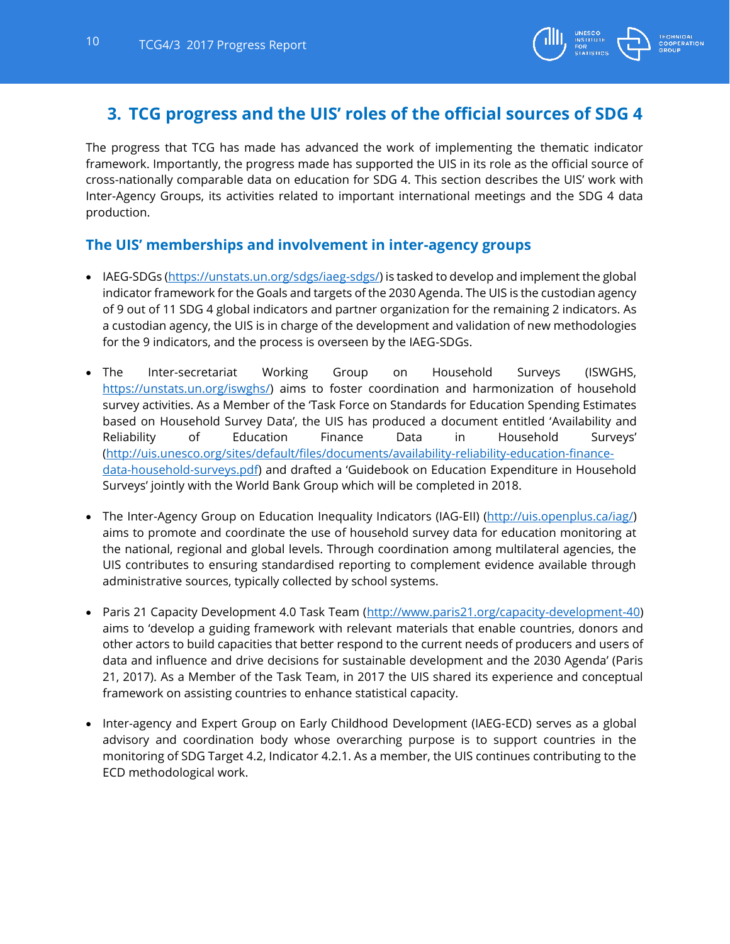

# <span id="page-9-0"></span>**3. TCG progress and the UIS' roles of the official sources of SDG 4**

The progress that TCG has made has advanced the work of implementing the thematic indicator framework. Importantly, the progress made has supported the UIS in its role as the official source of cross-nationally comparable data on education for SDG 4. This section describes the UIS' work with Inter-Agency Groups, its activities related to important international meetings and the SDG 4 data production.

## <span id="page-9-1"></span>**The UIS' memberships and involvement in inter-agency groups**

- IAEG-SDGs [\(https://unstats.un.org/sdgs/iaeg-sdgs/\)](https://unstats.un.org/sdgs/iaeg-sdgs/) is tasked to develop and implement the global indicator framework for the Goals and targets of the 2030 Agenda. The UIS is the custodian agency of 9 out of 11 SDG 4 global indicators and partner organization for the remaining 2 indicators. As a custodian agency, the UIS is in charge of the development and validation of new methodologies for the 9 indicators, and the process is overseen by the IAEG-SDGs.
- The Inter-secretariat Working Group on Household Surveys (ISWGHS, [https://unstats.un.org/iswghs/\)](https://unstats.un.org/iswghs/) aims to foster coordination and harmonization of household survey activities. As a Member of the 'Task Force on Standards for Education Spending Estimates based on Household Survey Data', the UIS has produced a document entitled 'Availability and Reliability of Education Finance Data in Household Surveys' [\(http://uis.unesco.org/sites/default/files/documents/availability-reliability-education-finance](http://uis.unesco.org/sites/default/files/documents/availability-reliability-education-finance-data-household-surveys.pdf)[data-household-surveys.pdf](http://uis.unesco.org/sites/default/files/documents/availability-reliability-education-finance-data-household-surveys.pdf)) and drafted a 'Guidebook on Education Expenditure in Household Surveys' jointly with the World Bank Group which will be completed in 2018.
- The Inter-Agency Group on Education Inequality Indicators (IAG-EII) [\(http://uis.openplus.ca/iag/\)](http://uis.openplus.ca/iag/) aims to promote and coordinate the use of household survey data for education monitoring at the national, regional and global levels. Through coordination among multilateral agencies, the UIS contributes to ensuring standardised reporting to complement evidence available through administrative sources, typically collected by school systems.
- Paris 21 Capacity Development 4.0 Task Team [\(http://www.paris21.org/capacity-development-40\)](http://www.paris21.org/capacity-development-40) aims to 'develop a guiding framework with relevant materials that enable countries, donors and other actors to build capacities that better respond to the current needs of producers and users of data and influence and drive decisions for sustainable development and the 2030 Agenda' (Paris 21, 2017). As a Member of the Task Team, in 2017 the UIS shared its experience and conceptual framework on assisting countries to enhance statistical capacity.
- Inter-agency and Expert Group on Early Childhood Development (IAEG-ECD) serves as a global advisory and coordination body whose overarching purpose is to support countries in the monitoring of SDG Target 4.2, Indicator 4.2.1. As a member, the UIS continues contributing to the ECD methodological work.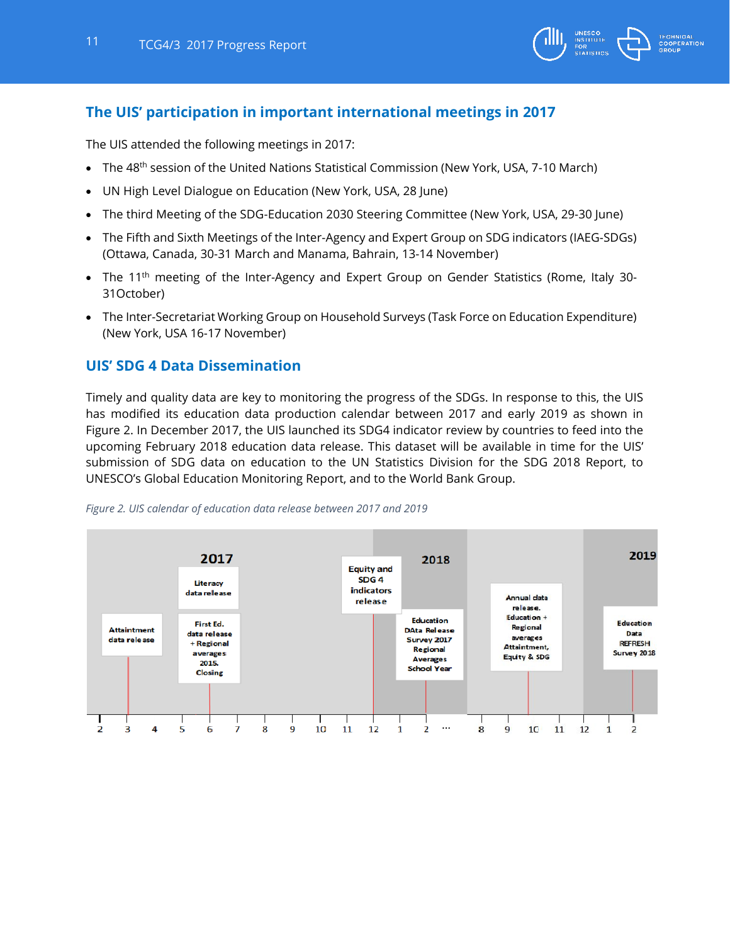

## <span id="page-10-0"></span>**The UIS' participation in important international meetings in 2017**

The UIS attended the following meetings in 2017:

- The 48<sup>th</sup> session of the United Nations Statistical Commission (New York, USA, 7-10 March)
- UN High Level Dialogue on Education (New York, USA, 28 June)
- The third Meeting of the SDG-Education 2030 Steering Committee (New York, USA, 29-30 June)
- The Fifth and Sixth Meetings of the Inter-Agency and Expert Group on SDG indicators (IAEG-SDGs) (Ottawa, Canada, 30-31 March and Manama, Bahrain, 13-14 November)
- The 11<sup>th</sup> meeting of the Inter-Agency and Expert Group on Gender Statistics (Rome, Italy 30-31October)
- The Inter-Secretariat Working Group on Household Surveys (Task Force on Education Expenditure) (New York, USA 16-17 November)

## <span id="page-10-1"></span>**UIS' SDG 4 Data Dissemination**

Timely and quality data are key to monitoring the progress of the SDGs. In response to this, the UIS has modified its education data production calendar between 2017 and early 2019 as shown in Figure 2. In December 2017, the UIS launched its SDG4 indicator review by countries to feed into the upcoming February 2018 education data release. This dataset will be available in time for the UIS' submission of SDG data on education to the UN Statistics Division for the SDG 2018 Report, to UNESCO's Global Education Monitoring Report, and to the World Bank Group.



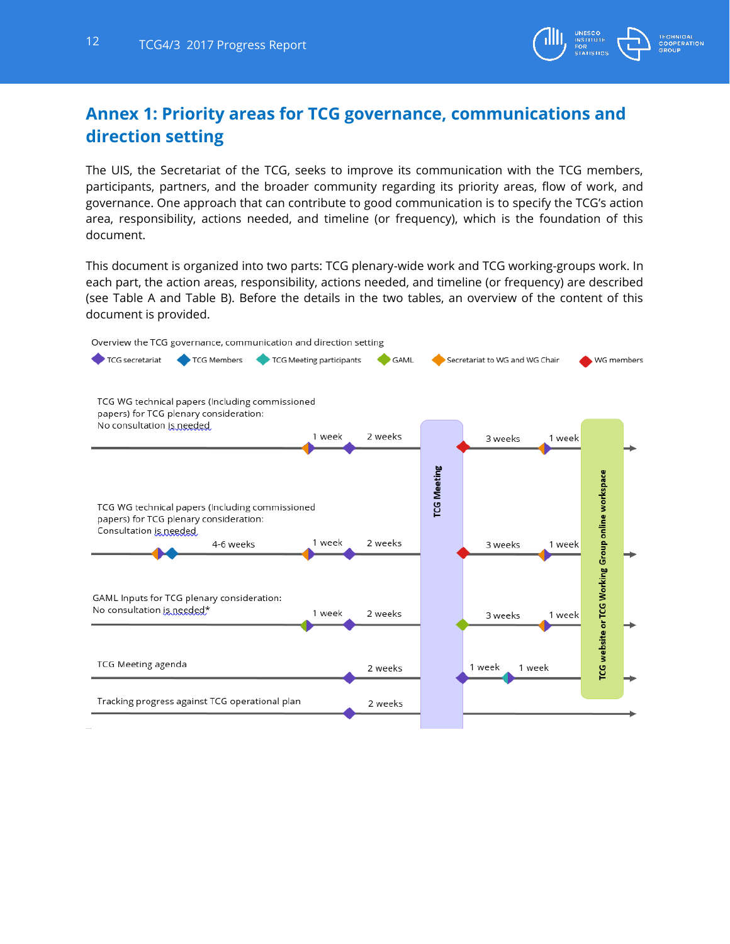

# <span id="page-11-0"></span>**Annex 1: Priority areas for TCG governance, communications and direction setting**

The UIS, the Secretariat of the TCG, seeks to improve its communication with the TCG members, participants, partners, and the broader community regarding its priority areas, flow of work, and governance. One approach that can contribute to good communication is to specify the TCG's action area, responsibility, actions needed, and timeline (or frequency), which is the foundation of this document.

This document is organized into two parts: TCG plenary-wide work and TCG working-groups work. In each part, the action areas, responsibility, actions needed, and timeline (or frequency) are described (see Table A and Table B). Before the details in the two tables, an overview of the content of this document is provided.

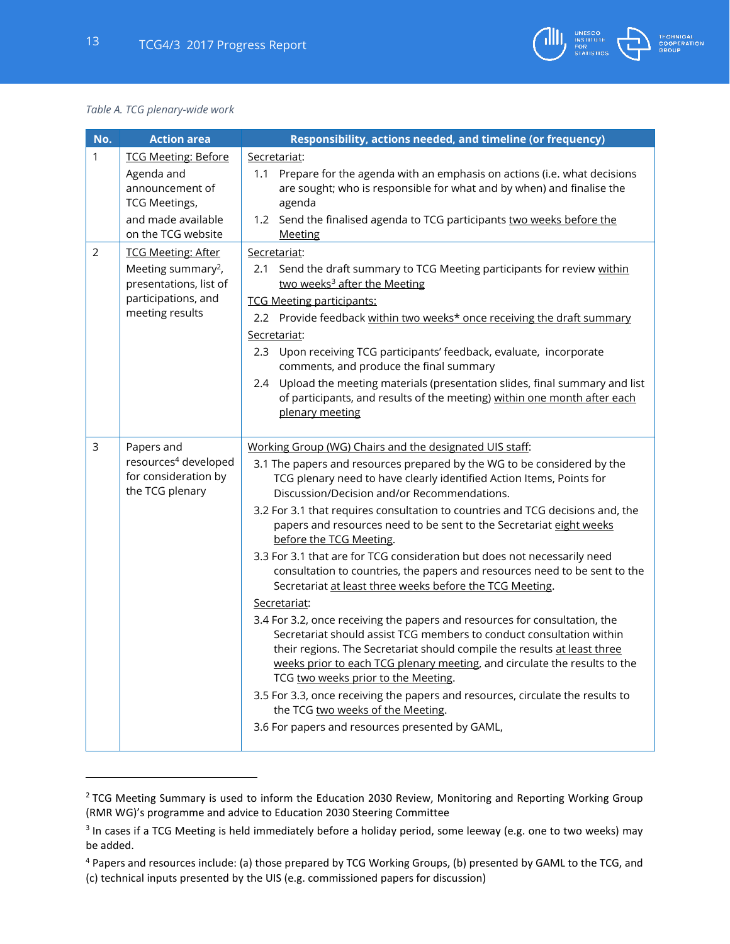

#### *Table A. TCG plenary-wide work*

 $\overline{a}$ 

| No.            | <b>Action area</b>                                                                                                              | Responsibility, actions needed, and timeline (or frequency)                                                                                                                                                                                                                                                                                                                                                                                                                                                                                                                                                                                                                                                                                                                                                                                                                                                                                                                                                                                                                                                                                                                                                         |
|----------------|---------------------------------------------------------------------------------------------------------------------------------|---------------------------------------------------------------------------------------------------------------------------------------------------------------------------------------------------------------------------------------------------------------------------------------------------------------------------------------------------------------------------------------------------------------------------------------------------------------------------------------------------------------------------------------------------------------------------------------------------------------------------------------------------------------------------------------------------------------------------------------------------------------------------------------------------------------------------------------------------------------------------------------------------------------------------------------------------------------------------------------------------------------------------------------------------------------------------------------------------------------------------------------------------------------------------------------------------------------------|
| $\mathbf{1}$   | <b>TCG Meeting: Before</b><br>Agenda and<br>announcement of<br><b>TCG Meetings,</b><br>and made available<br>on the TCG website | Secretariat:<br>Prepare for the agenda with an emphasis on actions (i.e. what decisions<br>1.1<br>are sought; who is responsible for what and by when) and finalise the<br>agenda<br>1.2 Send the finalised agenda to TCG participants two weeks before the<br><b>Meeting</b>                                                                                                                                                                                                                                                                                                                                                                                                                                                                                                                                                                                                                                                                                                                                                                                                                                                                                                                                       |
| $\overline{2}$ | <b>TCG Meeting: After</b>                                                                                                       | Secretariat:                                                                                                                                                                                                                                                                                                                                                                                                                                                                                                                                                                                                                                                                                                                                                                                                                                                                                                                                                                                                                                                                                                                                                                                                        |
|                | Meeting summary <sup>2</sup> ,<br>presentations, list of<br>participations, and<br>meeting results                              | Send the draft summary to TCG Meeting participants for review within<br>2.1<br>two weeks <sup>3</sup> after the Meeting<br><b>TCG Meeting participants:</b><br>2.2 Provide feedback within two weeks* once receiving the draft summary<br>Secretariat:<br>2.3 Upon receiving TCG participants' feedback, evaluate, incorporate<br>comments, and produce the final summary<br>Upload the meeting materials (presentation slides, final summary and list<br>2.4<br>of participants, and results of the meeting) within one month after each                                                                                                                                                                                                                                                                                                                                                                                                                                                                                                                                                                                                                                                                           |
|                |                                                                                                                                 | plenary meeting                                                                                                                                                                                                                                                                                                                                                                                                                                                                                                                                                                                                                                                                                                                                                                                                                                                                                                                                                                                                                                                                                                                                                                                                     |
| $\mathsf{3}$   | Papers and<br>resources <sup>4</sup> developed<br>for consideration by<br>the TCG plenary                                       | Working Group (WG) Chairs and the designated UIS staff:<br>3.1 The papers and resources prepared by the WG to be considered by the<br>TCG plenary need to have clearly identified Action Items, Points for<br>Discussion/Decision and/or Recommendations.<br>3.2 For 3.1 that requires consultation to countries and TCG decisions and, the<br>papers and resources need to be sent to the Secretariat eight weeks<br>before the TCG Meeting.<br>3.3 For 3.1 that are for TCG consideration but does not necessarily need<br>consultation to countries, the papers and resources need to be sent to the<br>Secretariat at least three weeks before the TCG Meeting.<br>Secretariat:<br>3.4 For 3.2, once receiving the papers and resources for consultation, the<br>Secretariat should assist TCG members to conduct consultation within<br>their regions. The Secretariat should compile the results at least three<br>weeks prior to each TCG plenary meeting, and circulate the results to the<br>TCG two weeks prior to the Meeting.<br>3.5 For 3.3, once receiving the papers and resources, circulate the results to<br>the TCG two weeks of the Meeting.<br>3.6 For papers and resources presented by GAML, |

<sup>&</sup>lt;sup>2</sup> TCG Meeting Summary is used to inform the Education 2030 Review, Monitoring and Reporting Working Group (RMR WG)'s programme and advice to Education 2030 Steering Committee

<sup>&</sup>lt;sup>3</sup> In cases if a TCG Meeting is held immediately before a holiday period, some leeway (e.g. one to two weeks) may be added.

<sup>4</sup> Papers and resources include: (a) those prepared by TCG Working Groups, (b) presented by GAML to the TCG, and (c) technical inputs presented by the UIS (e.g. commissioned papers for discussion)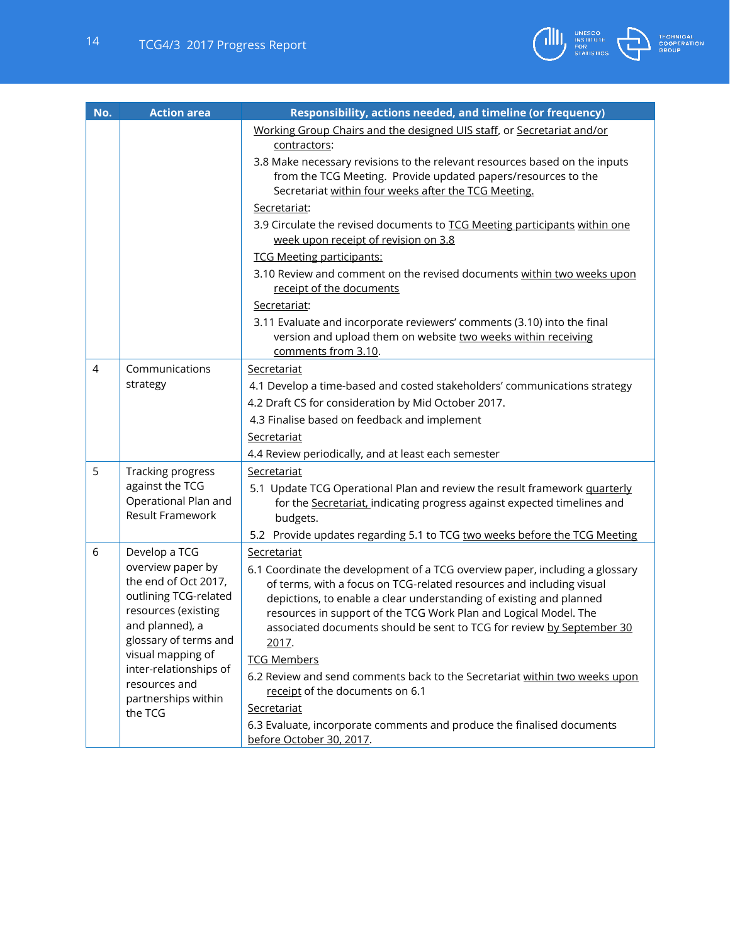

| No.            | <b>Action area</b>                                                                                                                                                                                                           | Responsibility, actions needed, and timeline (or frequency)                                                                                                                                                                                                                                                                                                                                             |
|----------------|------------------------------------------------------------------------------------------------------------------------------------------------------------------------------------------------------------------------------|---------------------------------------------------------------------------------------------------------------------------------------------------------------------------------------------------------------------------------------------------------------------------------------------------------------------------------------------------------------------------------------------------------|
|                |                                                                                                                                                                                                                              | Working Group Chairs and the designed UIS staff, or Secretariat and/or<br>contractors:<br>3.8 Make necessary revisions to the relevant resources based on the inputs                                                                                                                                                                                                                                    |
|                |                                                                                                                                                                                                                              | from the TCG Meeting. Provide updated papers/resources to the<br>Secretariat within four weeks after the TCG Meeting.                                                                                                                                                                                                                                                                                   |
|                |                                                                                                                                                                                                                              | Secretariat:                                                                                                                                                                                                                                                                                                                                                                                            |
|                |                                                                                                                                                                                                                              | 3.9 Circulate the revised documents to TCG Meeting participants within one<br>week upon receipt of revision on 3.8                                                                                                                                                                                                                                                                                      |
|                |                                                                                                                                                                                                                              | <b>TCG Meeting participants:</b>                                                                                                                                                                                                                                                                                                                                                                        |
|                |                                                                                                                                                                                                                              | 3.10 Review and comment on the revised documents within two weeks upon<br>receipt of the documents                                                                                                                                                                                                                                                                                                      |
|                |                                                                                                                                                                                                                              | Secretariat:                                                                                                                                                                                                                                                                                                                                                                                            |
|                |                                                                                                                                                                                                                              | 3.11 Evaluate and incorporate reviewers' comments (3.10) into the final<br>version and upload them on website two weeks within receiving<br>comments from 3.10.                                                                                                                                                                                                                                         |
| $\overline{4}$ | Communications                                                                                                                                                                                                               | Secretariat                                                                                                                                                                                                                                                                                                                                                                                             |
|                | strategy                                                                                                                                                                                                                     | 4.1 Develop a time-based and costed stakeholders' communications strategy                                                                                                                                                                                                                                                                                                                               |
|                |                                                                                                                                                                                                                              | 4.2 Draft CS for consideration by Mid October 2017.                                                                                                                                                                                                                                                                                                                                                     |
|                |                                                                                                                                                                                                                              | 4.3 Finalise based on feedback and implement                                                                                                                                                                                                                                                                                                                                                            |
|                |                                                                                                                                                                                                                              | Secretariat                                                                                                                                                                                                                                                                                                                                                                                             |
|                |                                                                                                                                                                                                                              | 4.4 Review periodically, and at least each semester                                                                                                                                                                                                                                                                                                                                                     |
| 5              | Tracking progress                                                                                                                                                                                                            | Secretariat                                                                                                                                                                                                                                                                                                                                                                                             |
|                | against the TCG<br>Operational Plan and<br>Result Framework                                                                                                                                                                  | 5.1 Update TCG Operational Plan and review the result framework quarterly                                                                                                                                                                                                                                                                                                                               |
|                |                                                                                                                                                                                                                              | for the Secretariat, indicating progress against expected timelines and<br>budgets.                                                                                                                                                                                                                                                                                                                     |
|                |                                                                                                                                                                                                                              | 5.2 Provide updates regarding 5.1 to TCG two weeks before the TCG Meeting                                                                                                                                                                                                                                                                                                                               |
| 6              | Develop a TCG                                                                                                                                                                                                                | Secretariat                                                                                                                                                                                                                                                                                                                                                                                             |
|                | overview paper by<br>the end of Oct 2017,<br>outlining TCG-related<br>resources (existing<br>and planned), a<br>glossary of terms and<br>visual mapping of<br>inter-relationships of<br>resources and<br>partnerships within | 6.1 Coordinate the development of a TCG overview paper, including a glossary<br>of terms, with a focus on TCG-related resources and including visual<br>depictions, to enable a clear understanding of existing and planned<br>resources in support of the TCG Work Plan and Logical Model. The<br>associated documents should be sent to TCG for review by September 30<br>2017.<br><b>TCG Members</b> |
|                |                                                                                                                                                                                                                              | 6.2 Review and send comments back to the Secretariat within two weeks upon<br>receipt of the documents on 6.1<br>Secretariat                                                                                                                                                                                                                                                                            |
|                | the TCG                                                                                                                                                                                                                      | 6.3 Evaluate, incorporate comments and produce the finalised documents<br>before October 30, 2017.                                                                                                                                                                                                                                                                                                      |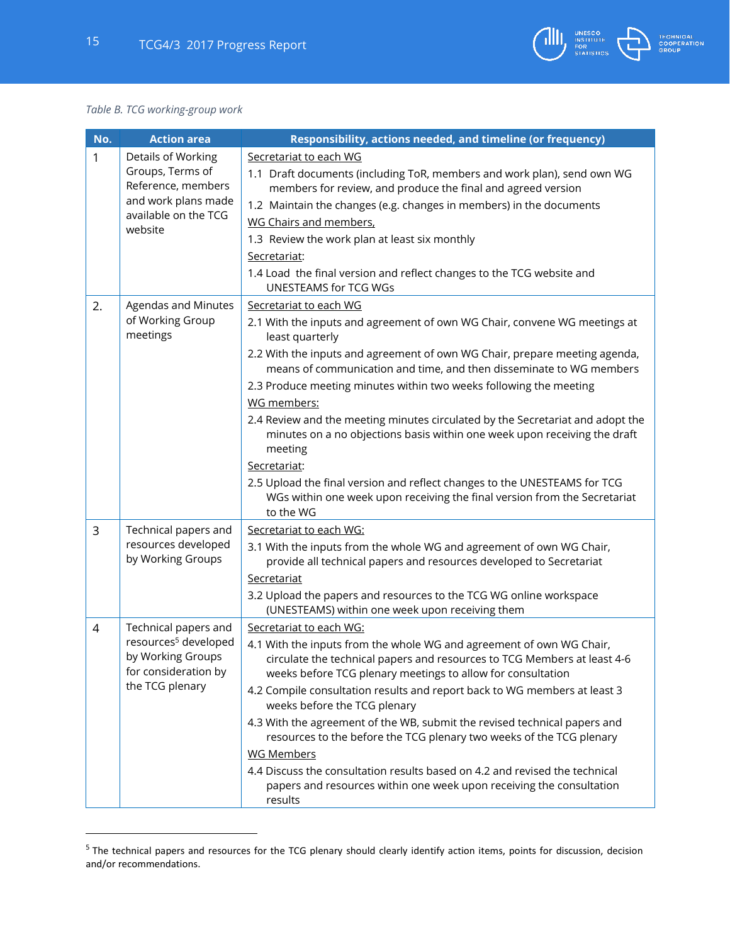#### *Table B. TCG working-group work*

 $\overline{\phantom{a}}$ 

| No.            | <b>Action area</b>                                                                                                       | Responsibility, actions needed, and timeline (or frequency)                                                                                                                                                                                                                                                                                                                                                                                                                                                                                                                                                                                                                                                                       |
|----------------|--------------------------------------------------------------------------------------------------------------------------|-----------------------------------------------------------------------------------------------------------------------------------------------------------------------------------------------------------------------------------------------------------------------------------------------------------------------------------------------------------------------------------------------------------------------------------------------------------------------------------------------------------------------------------------------------------------------------------------------------------------------------------------------------------------------------------------------------------------------------------|
| 1              | Details of Working<br>Groups, Terms of<br>Reference, members<br>and work plans made<br>available on the TCG<br>website   | Secretariat to each WG<br>1.1 Draft documents (including ToR, members and work plan), send own WG<br>members for review, and produce the final and agreed version<br>1.2 Maintain the changes (e.g. changes in members) in the documents<br><b>WG Chairs and members,</b><br>1.3 Review the work plan at least six monthly<br>Secretariat:<br>1.4 Load the final version and reflect changes to the TCG website and<br><b>UNESTEAMS for TCG WGs</b>                                                                                                                                                                                                                                                                               |
| 2.             | Agendas and Minutes<br>of Working Group<br>meetings                                                                      | Secretariat to each WG<br>2.1 With the inputs and agreement of own WG Chair, convene WG meetings at<br>least quarterly<br>2.2 With the inputs and agreement of own WG Chair, prepare meeting agenda,<br>means of communication and time, and then disseminate to WG members<br>2.3 Produce meeting minutes within two weeks following the meeting<br>WG members:<br>2.4 Review and the meeting minutes circulated by the Secretariat and adopt the<br>minutes on a no objections basis within one week upon receiving the draft<br>meeting<br>Secretariat:<br>2.5 Upload the final version and reflect changes to the UNESTEAMS for TCG<br>WGs within one week upon receiving the final version from the Secretariat<br>to the WG |
| 3              | Technical papers and<br>resources developed<br>by Working Groups                                                         | Secretariat to each WG:<br>3.1 With the inputs from the whole WG and agreement of own WG Chair,<br>provide all technical papers and resources developed to Secretariat<br>Secretariat<br>3.2 Upload the papers and resources to the TCG WG online workspace<br>(UNESTEAMS) within one week upon receiving them                                                                                                                                                                                                                                                                                                                                                                                                                    |
| $\overline{4}$ | Technical papers and<br>resources <sup>5</sup> developed<br>by Working Groups<br>for consideration by<br>the TCG plenary | Secretariat to each WG:<br>4.1 With the inputs from the whole WG and agreement of own WG Chair,<br>circulate the technical papers and resources to TCG Members at least 4-6<br>weeks before TCG plenary meetings to allow for consultation<br>4.2 Compile consultation results and report back to WG members at least 3<br>weeks before the TCG plenary<br>4.3 With the agreement of the WB, submit the revised technical papers and<br>resources to the before the TCG plenary two weeks of the TCG plenary<br><b>WG Members</b><br>4.4 Discuss the consultation results based on 4.2 and revised the technical<br>papers and resources within one week upon receiving the consultation<br>results                               |

**TECHNICAL<br>COOPERATION<br>GROUP** 

UNESCO<br>INSTITUTE<br>FOR<br>STATISTICS

<sup>&</sup>lt;sup>5</sup> The technical papers and resources for the TCG plenary should clearly identify action items, points for discussion, decision and/or recommendations.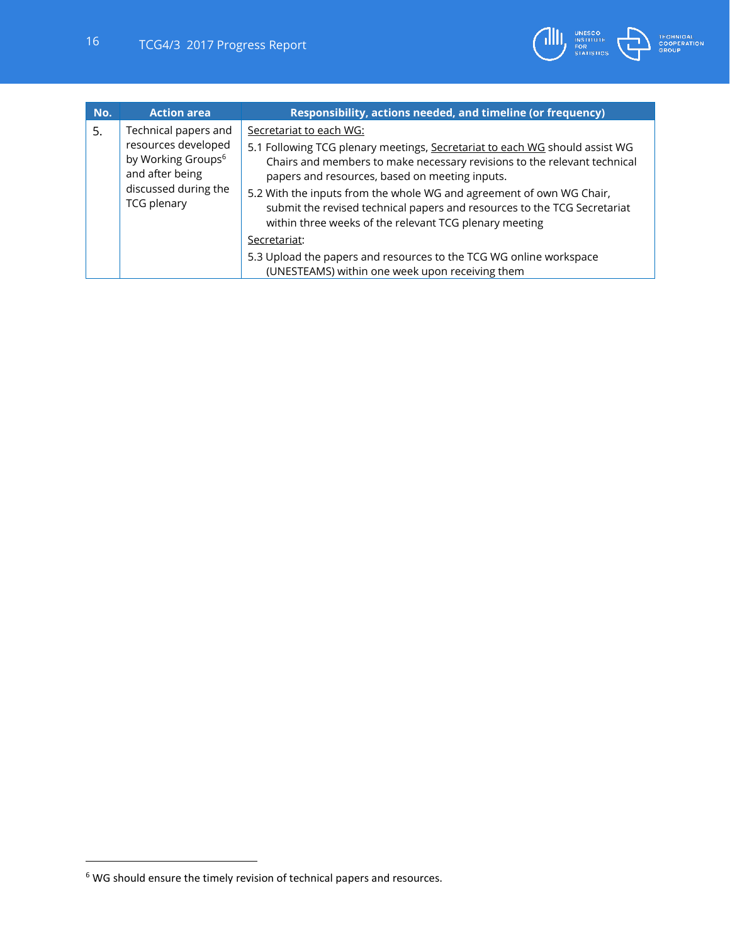

| No. | <b>Action area</b>                                                                                                                             | Responsibility, actions needed, and timeline (or frequency)                                                                                                                                                                                                                                                  |
|-----|------------------------------------------------------------------------------------------------------------------------------------------------|--------------------------------------------------------------------------------------------------------------------------------------------------------------------------------------------------------------------------------------------------------------------------------------------------------------|
| 5.  | Technical papers and<br>resources developed<br>by Working Groups <sup>6</sup><br>and after being<br>discussed during the<br><b>TCG plenary</b> | Secretariat to each WG:<br>5.1 Following TCG plenary meetings, Secretariat to each WG should assist WG<br>Chairs and members to make necessary revisions to the relevant technical<br>papers and resources, based on meeting inputs.<br>5.2 With the inputs from the whole WG and agreement of own WG Chair, |
|     |                                                                                                                                                | submit the revised technical papers and resources to the TCG Secretariat<br>within three weeks of the relevant TCG plenary meeting                                                                                                                                                                           |
|     |                                                                                                                                                | Secretariat:                                                                                                                                                                                                                                                                                                 |
|     |                                                                                                                                                | 5.3 Upload the papers and resources to the TCG WG online workspace                                                                                                                                                                                                                                           |
|     |                                                                                                                                                | (UNESTEAMS) within one week upon receiving them                                                                                                                                                                                                                                                              |

 $\overline{\phantom{a}}$ 

 $6$  WG should ensure the timely revision of technical papers and resources.